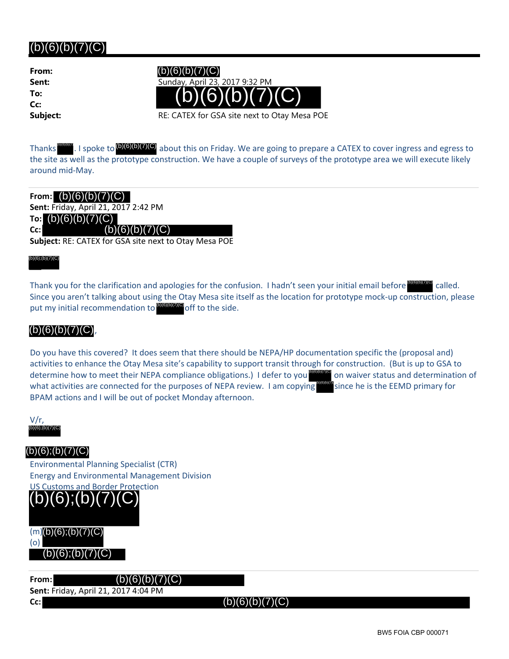# $(b)(6)(b)(7)(C)$

**From: To: Cc:**



**Subject:** RE: CATEX for GSA site next to Otay Mesa POE

Thanks **Mondic**. I spoke to **(b)(6)(b)(7)(C)** about this on Friday. We are going to prepare a CATEX to cover ingress and egress to the site as well as the prototype construction. We have a couple of surveys of the prototype area we will execute likely around mid‐May.

**From:** (b)(6)(b)(7)(C) **Sent:** Friday, April 21, 2017 2:42 PM **To:** (b)(6)(b)(7)(C) **Cc: Subject:** RE: CATEX for GSA site next to Otay Mesa POE  $(b)(6)(b)(7)(C)$ 

(b)(6)(b)(7)(C)

Thank you for the clarification and apologies for the confusion. I hadn't seen your initial email before **DIGUDITION** called. Since you aren't talking about using the Otay Mesa site itself as the location for prototype mock‐up construction, please put my initial recommendation to **DGGGGGGGG** off to the side. (b)(6)(b)(7)(C)

## $(b)(6)(b)(7)(C)$

Do you have this covered? It does seem that there should be NEPA/HP documentation specific the (proposal and) activities to enhance the Otay Mesa site's capability to support transit through for construction. (But is up to GSA to determine how to meet their NEPA compliance obligations.) I defer to you what activities are connected for the purposes of NEPA review. I am copying BPAM actions and I will be out of pocket Monday afternoon. (b)<sup>(a)(c)</sup> on waiver status and determination of since he is the EEMD primary for Thank you for the clarification and apologies for the confusion. I had<br>
Since you aren't talking about using the Otay Mesa site itself as the low<br>
put my initial recommendation to **process** off to the side.<br> **(b)(6)(b)(7)** 

 $V/r$ ,<br>ത്രത്രത്തര

Environmental Planning Specialist (CTR) Energy and Environmental Management Division



(o)

**From:** (b)(6)(b)(7)(C) **Sent:** Friday, April 21, 2017 4:04 PM **Cc:**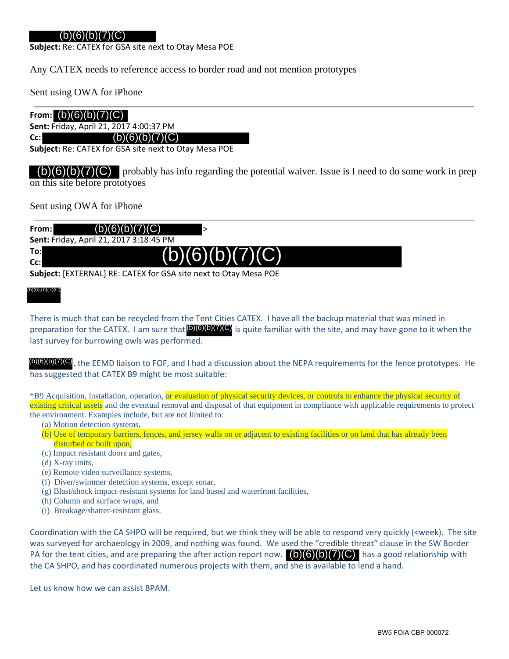### (b)(6)(b)(7)(C)

**Subject:** Re: CATEX for GSA site next to Otay Mesa POE

Any CATEX needs to reference access to border road and not mention prototypes

Sent using OWA for iPhone

### **From:** (b)(6)(b)(7)(C)

**Sent:** Friday, April 21, 2017 4:00:37 PM

**Cc:**

**Subject:** Re: CATEX for GSA site next to Otay Mesa POE

 $(b)(6)(b)(7)(C)$ 

 $\binom{b}{6}(b)(7)(C)$  probably has info regarding the potential waiver. Issue is I need to do some work in prep on this site before prototyoes

Sent using OWA for iPhone

| From: I | (b)(6)(b)(7)(C)                                |  |  |  |  |
|---------|------------------------------------------------|--|--|--|--|
|         | <b>Sent: Friday, April 21, 2017 3:18:45 PM</b> |  |  |  |  |
| To:l    | (b)(6)(b)(7)(C)                                |  |  |  |  |
| Cc:l    |                                                |  |  |  |  |
|         |                                                |  |  |  |  |

**Subject:** [EXTERNAL] RE: CATEX for GSA site next to Otay Mesa POE

## (b)(6)(b)(7)(C) (b)(6);(b)(7)(C)

There is much that can be recycled from the Tent Cities CATEX. I have all the backup material that was mined in preparation for the CATEX. I am sure that  $(0)(6)(0)(7)(C)$  is quite familiar with the site, and may have gone to it when the last survey for burrowing owls was performed.

(b)(6)(b)(7)(C)<sub>,</sub> the EEMD liaison to FOF, and I had a discussion about the NEPA requirements for the fence prototypes. He has suggested that CATEX B9 might be most suitable:

\*B9 Acquisition, installation, operation, or evaluation of physical security devices, or controls to enhance the physical security of existing critical assets and the eventual removal and disposal of that equipment in compliance with applicable requirements to protect the environment. Examples include, but are not limited to:

- (a) Motion detection systems,
- (b) Use of temporary barriers, fences, and jersey walls on or adjacent to existing facilities or on land that has already been disturbed or built upon,
- (c) Impact resistant doors and gates,
- (d) X-ray units,
- (e) Remote video surveillance systems,
- (f) Diver/swimmer detection systems, except sonar,
- (g) Blast/shock impact-resistant systems for land based and waterfront facilities,
- (h) Column and surface wraps, and
- (i) Breakage/shatter-resistant glass.

Coordination with the CA SHPO will be required, but we think they will be able to respond very quickly (<week). The site was surveyed for archaeology in 2009, and nothing was found. We used the "credible threat" clause in the SW Border PA for the tent cities, and are preparing the after action report now.  $\Box(6)(6)(D)(7)(C)$  has a good relationship with the CA SHPO, and has coordinated numerous projects with them, and she is available to lend a hand.

Let us know how we can assist BPAM.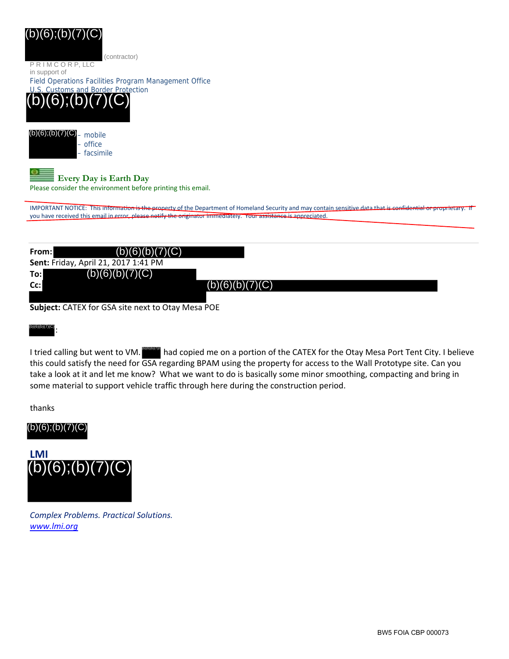# (b)(6);(b)(7)(C)

(contractor)

P R I M C O R P, LLC in support of

Field Operations Facilities Program Management Office





## **Every Day is Earth Day**

Please consider the environment before printing this email.

IMPORTANT NOTICE: This information is the property of the Department of Homeland Security and may contain sensitive data that is confidential or proprietary. you have received this email in error, please notify the originator immediately. Your assistance is appreciated

| From: | (b)(6)(b)(7)(C)                      |                 |  |
|-------|--------------------------------------|-----------------|--|
|       | Sent: Friday, April 21, 2017 1:41 PM |                 |  |
| To:   | (b)(6)(b)(7)(C)                      |                 |  |
| Cc:   |                                      | (b)(6)(b)(7)(C) |  |
|       |                                      |                 |  |

**Subject:** CATEX for GSA site next to Otay Mesa POE

#### : (b)(6)(b)(7)(C)

I tried calling but went to VM. **EXECT THE ADD** had copied me on a portion of the CATEX for the Otay Mesa Port Tent City. I believe this could satisfy the need for GSA regarding BPAM using the property for access to the Wall Prototype site. Can you take a look at it and let me know? What we want to do is basically some minor smoothing, compacting and bring in some material to support vehicle traffic through here during the construction period.

thanks





*Complex Problems. Practical Solutions. www.lmi.org*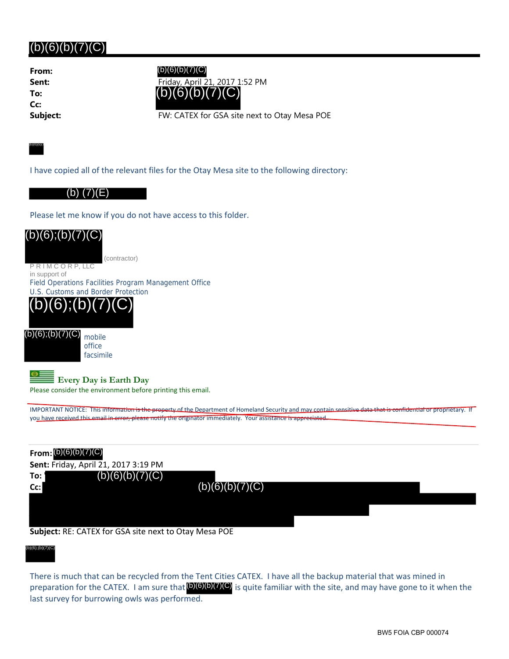# $(b)(6)(b)(7)(C)$

**From: To: Cc:**

**Sent:** Friday, April 21, 2017 1:52 PM (b)(6)(b)(7)(C) (b)(6)(b)(7)(C)

**Subject:** FW: CATEX for GSA site next to Otay Mesa POE

(b)(6)(b)(7)(C)

I have copied all of the relevant files for the Otay Mesa site to the following directory:

#### (b) (7)(E)

Please let me know if you do not have access to this folder.



**Subject:** RE: CATEX for GSA site next to Otay Mesa POE

#### (b)(6)(b)(7)(C) (b)(6);(b)(7)(C)

There is much that can be recycled from the Tent Cities CATEX. I have all the backup material that was mined in preparation for the CATEX. I am sure that (b)(6)(b)(7)(C) is quite familiar with the site, and may have gone to it when the last survey for burrowing owls was performed.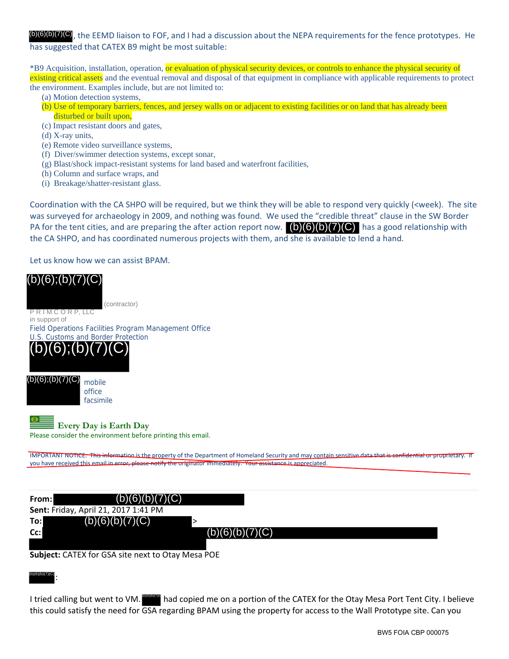, the EEMD liaison to FOF, and I had a discussion about the NEPA requirements for the fence prototypes. He has suggested that CATEX B9 might be most suitable:

\*B9 Acquisition, installation, operation, or evaluation of physical security devices, or controls to enhance the physical security of existing critical assets and the eventual removal and disposal of that equipment in compliance with applicable requirements to protect the environment. Examples include, but are not limited to:

- (a) Motion detection systems,
- (b) Use of temporary barriers, fences, and jersey walls on or adjacent to existing facilities or on land that has already been disturbed or built upon,
- (c) Impact resistant doors and gates,
- (d) X-ray units,
- (e) Remote video surveillance systems,
- (f) Diver/swimmer detection systems, except sonar,
- (g) Blast/shock impact-resistant systems for land based and waterfront facilities,
- (h) Column and surface wraps, and
- (i) Breakage/shatter-resistant glass.

Coordination with the CA SHPO will be required, but we think they will be able to respond very quickly (<week). The site was surveyed for archaeology in 2009, and nothing was found. We used the "credible threat" clause in the SW Border PA for the tent cities, and are preparing the after action report now. (b)(6)(b)(7)(C) has a good relationship with the CA SHPO, and has coordinated numerous projects with them, and she is available to lend a hand.

Let us know how we can assist BPAM.



| From:  | (b)(6)(b)(7)(C)                      |                 |  |
|--------|--------------------------------------|-----------------|--|
|        | Sent: Friday, April 21, 2017 1:41 PM |                 |  |
| To:    | (b)(6)(b)(7)(C)                      |                 |  |
| $Cc$ : |                                      | (b)(6)(b)(7)(C) |  |
|        |                                      |                 |  |

**Subject:** CATEX for GSA site next to Otay Mesa POE

: (b)(6)(b)(7)(C)

I tried calling but went to VM. **BEBAN** had copied me on a portion of the CATEX for the Otay Mesa Port Tent City. I believe this could satisfy the need for GSA regarding BPAM using the property for access to the Wall Prototype site. Can you